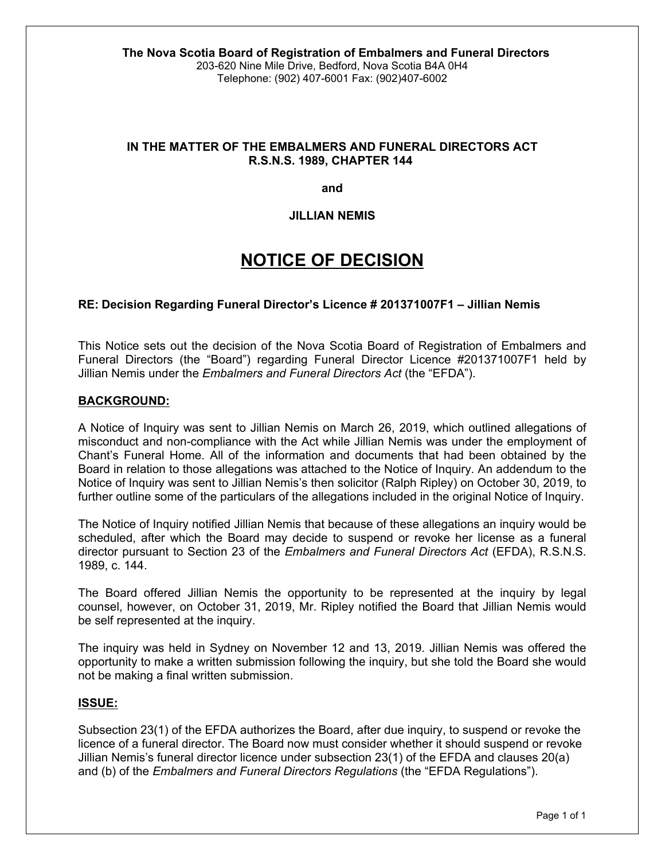# **IN THE MATTER OF THE EMBALMERS AND FUNERAL DIRECTORS ACT R.S.N.S. 1989, CHAPTER 144**

**and**

## **JILLIAN NEMIS**

# **NOTICE OF DECISION**

## **RE: Decision Regarding Funeral Director's Licence # 201371007F1 – Jillian Nemis**

This Notice sets out the decision of the Nova Scotia Board of Registration of Embalmers and Funeral Directors (the "Board") regarding Funeral Director Licence #201371007F1 held by Jillian Nemis under the *Embalmers and Funeral Directors Act* (the "EFDA").

#### **BACKGROUND:**

A Notice of Inquiry was sent to Jillian Nemis on March 26, 2019, which outlined allegations of misconduct and non-compliance with the Act while Jillian Nemis was under the employment of Chant's Funeral Home. All of the information and documents that had been obtained by the Board in relation to those allegations was attached to the Notice of Inquiry. An addendum to the Notice of Inquiry was sent to Jillian Nemis's then solicitor (Ralph Ripley) on October 30, 2019, to further outline some of the particulars of the allegations included in the original Notice of Inquiry.

The Notice of Inquiry notified Jillian Nemis that because of these allegations an inquiry would be scheduled, after which the Board may decide to suspend or revoke her license as a funeral director pursuant to Section 23 of the *Embalmers and Funeral Directors Act* (EFDA), R.S.N.S. 1989, c. 144.

The Board offered Jillian Nemis the opportunity to be represented at the inquiry by legal counsel, however, on October 31, 2019, Mr. Ripley notified the Board that Jillian Nemis would be self represented at the inquiry.

The inquiry was held in Sydney on November 12 and 13, 2019. Jillian Nemis was offered the opportunity to make a written submission following the inquiry, but she told the Board she would not be making a final written submission.

#### **ISSUE:**

Subsection 23(1) of the EFDA authorizes the Board, after due inquiry, to suspend or revoke the licence of a funeral director. The Board now must consider whether it should suspend or revoke Jillian Nemis's funeral director licence under subsection 23(1) of the EFDA and clauses 20(a) and (b) of the *Embalmers and Funeral Directors Regulations* (the "EFDA Regulations").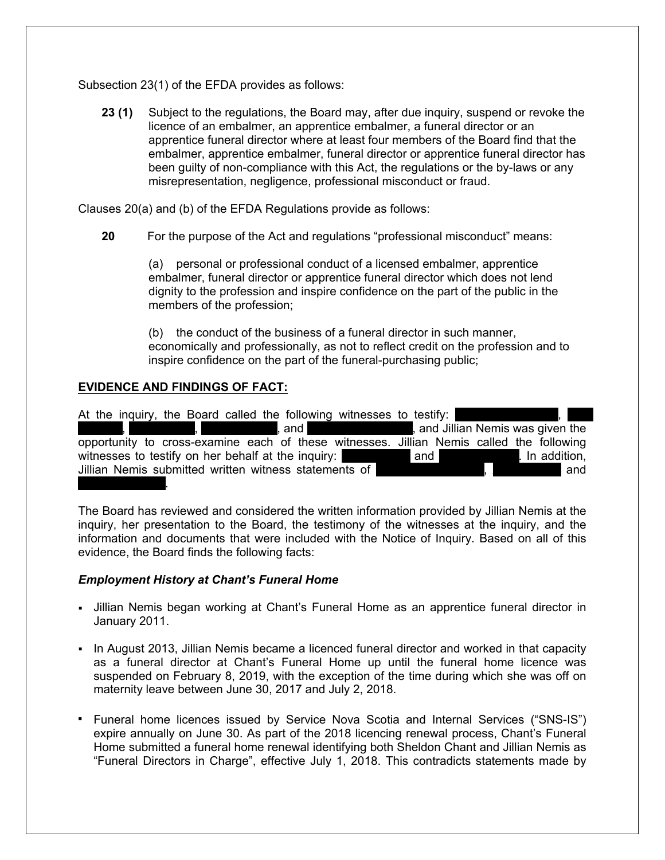Subsection 23(1) of the EFDA provides as follows:

**23 (1)** Subject to the regulations, the Board may, after due inquiry, suspend or revoke the licence of an embalmer, an apprentice embalmer, a funeral director or an apprentice funeral director where at least four members of the Board find that the embalmer, apprentice embalmer, funeral director or apprentice funeral director has been guilty of non-compliance with this Act, the regulations or the by-laws or any misrepresentation, negligence, professional misconduct or fraud.

Clauses 20(a) and (b) of the EFDA Regulations provide as follows:

**20** For the purpose of the Act and regulations "professional misconduct" means:

(a) personal or professional conduct of a licensed embalmer, apprentice embalmer, funeral director or apprentice funeral director which does not lend dignity to the profession and inspire confidence on the part of the public in the members of the profession;

(b) the conduct of the business of a funeral director in such manner, economically and professionally, as not to reflect credit on the profession and to inspire confidence on the part of the funeral-purchasing public;

# **EVIDENCE AND FINDINGS OF FACT:**

At the inquiry, the Board called the following witnesses to testify: of and Lynch Boudreau, and Jillian Nemis was given the opportunity to cross-examine each of these witnesses. Jillian Nemis called the following witnesses to testify on her behalf at the inquiry: and and Pierce and Amanda Lewis. In addition, Jillian Nemis submitted written witness statements of Terror Chant, Annual Chant, Aaron Lewis and Angelina Nelson.

The Board has reviewed and considered the written information provided by Jillian Nemis at the inquiry, her presentation to the Board, the testimony of the witnesses at the inquiry, and the information and documents that were included with the Notice of Inquiry. Based on all of this evidence, the Board finds the following facts:

#### *Employment History at Chant's Funeral Home*

- If Jillian Nemis began working at Chant's Funeral Home as an apprentice funeral director in January 2011.
- In August 2013, Jillian Nemis became a licenced funeral director and worked in that capacity as a funeral director at Chant's Funeral Home up until the funeral home licence was suspended on February 8, 2019, with the exception of the time during which she was off on maternity leave between June 30, 2017 and July 2, 2018.
- Funeral home licences issued by Service Nova Scotia and Internal Services ("SNS-IS") expire annually on June 30. As part of the 2018 licencing renewal process, Chant's Funeral Home submitted a funeral home renewal identifying both Sheldon Chant and Jillian Nemis as "Funeral Directors in Charge", effective July 1, 2018. This contradicts statements made by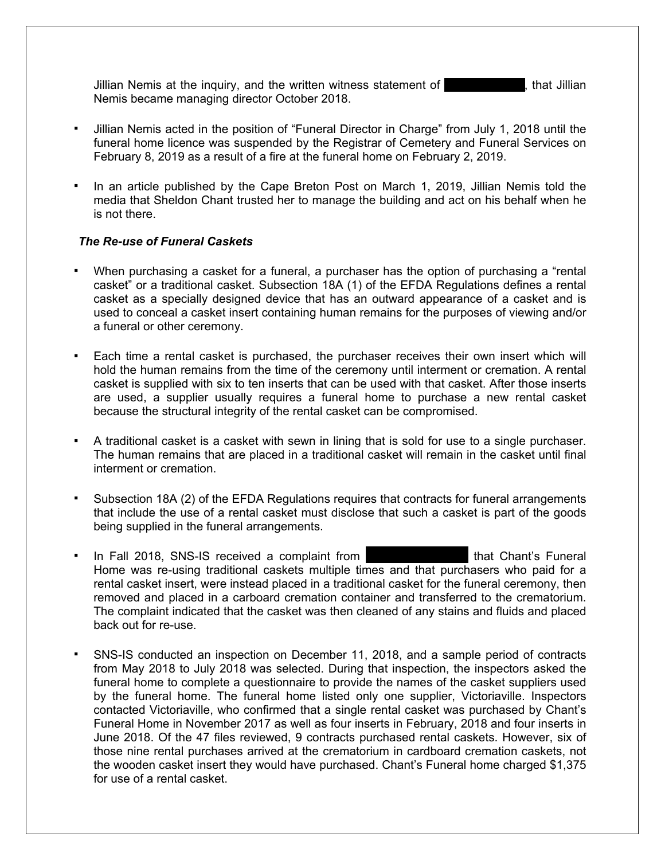Jillian Nemis at the inquiry, and the written witness statement of Theon Chant, that Jillian Nemis became managing director October 2018.

- Jillian Nemis acted in the position of "Funeral Director in Charge" from July 1, 2018 until the funeral home licence was suspended by the Registrar of Cemetery and Funeral Services on February 8, 2019 as a result of a fire at the funeral home on February 2, 2019.
- In an article published by the Cape Breton Post on March 1, 2019, Jillian Nemis told the media that Sheldon Chant trusted her to manage the building and act on his behalf when he is not there.

## *The Re-use of Funeral Caskets*

- When purchasing a casket for a funeral, a purchaser has the option of purchasing a "rental casket" or a traditional casket. Subsection 18A (1) of the EFDA Regulations defines a rental casket as a specially designed device that has an outward appearance of a casket and is used to conceal a casket insert containing human remains for the purposes of viewing and/or a funeral or other ceremony.
- Each time a rental casket is purchased, the purchaser receives their own insert which will hold the human remains from the time of the ceremony until interment or cremation. A rental casket is supplied with six to ten inserts that can be used with that casket. After those inserts are used, a supplier usually requires a funeral home to purchase a new rental casket because the structural integrity of the rental casket can be compromised.
- A traditional casket is a casket with sewn in lining that is sold for use to a single purchaser. The human remains that are placed in a traditional casket will remain in the casket until final interment or cremation.
- Subsection 18A (2) of the EFDA Regulations requires that contracts for funeral arrangements that include the use of a rental casket must disclose that such a casket is part of the goods being supplied in the funeral arrangements.
- In Fall 2018, SNS-IS received a complaint from Kategorian Must Chant's Funeral Home was re-using traditional caskets multiple times and that purchasers who paid for a rental casket insert, were instead placed in a traditional casket for the funeral ceremony, then removed and placed in a carboard cremation container and transferred to the crematorium. The complaint indicated that the casket was then cleaned of any stains and fluids and placed back out for re-use.
- SNS-IS conducted an inspection on December 11, 2018, and a sample period of contracts from May 2018 to July 2018 was selected. During that inspection, the inspectors asked the funeral home to complete a questionnaire to provide the names of the casket suppliers used by the funeral home. The funeral home listed only one supplier, Victoriaville. Inspectors contacted Victoriaville, who confirmed that a single rental casket was purchased by Chant's Funeral Home in November 2017 as well as four inserts in February, 2018 and four inserts in June 2018. Of the 47 files reviewed, 9 contracts purchased rental caskets. However, six of those nine rental purchases arrived at the crematorium in cardboard cremation caskets, not the wooden casket insert they would have purchased. Chant's Funeral home charged \$1,375 for use of a rental casket.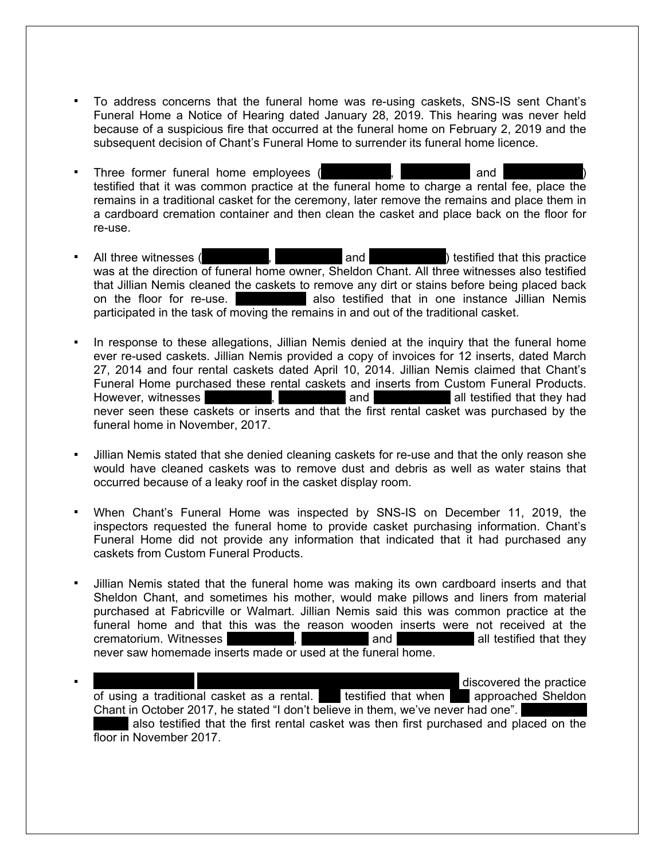- To address concerns that the funeral home was re-using caskets, SNS-IS sent Chant's Funeral Home a Notice of Hearing dated January 28, 2019. This hearing was never held because of a suspicious fire that occurred at the funeral home on February 2, 2019 and the subsequent decision of Chant's Funeral Home to surrender its funeral home licence.
- Three former funeral home employees (Senator Lynch, Jim Boudreau) and Air Boundary and Air Delaney and Kim Boudreau testified that it was common practice at the funeral home to charge a rental fee, place the remains in a traditional casket for the ceremony, later remove the remains and place them in a cardboard cremation container and then clean the casket and place back on the floor for re-use.
- All three witnesses (Network, Lynch, Jim Boudreau) testified that this practice was at the direction of funeral home owner, Sheldon Chant. All three witnesses also testified that Jillian Nemis cleaned the caskets to remove any dirt or stains before being placed back on the floor for re-use.  $\blacksquare$  also testified that in one instance Jillian Nemis participated in the task of moving the remains in and out of the traditional casket.
- In response to these allegations, Jillian Nemis denied at the inquiry that the funeral home ever re-used caskets. Jillian Nemis provided a copy of invoices for 12 inserts, dated March 27, 2014 and four rental caskets dated April 10, 2014. Jillian Nemis claimed that Chant's Funeral Home purchased these rental caskets and inserts from Custom Funeral Products. However, witnesses Messes Allyncom Allen and Allen all testified that they had never seen these caskets or inserts and that the first rental casket was purchased by the funeral home in November, 2017.
- Jillian Nemis stated that she denied cleaning caskets for re-use and that the only reason she would have cleaned caskets was to remove dust and debris as well as water stains that occurred because of a leaky roof in the casket display room.
- When Chant's Funeral Home was inspected by SNS-IS on December 11, 2019, the inspectors requested the funeral home to provide casket purchasing information. Chant's Funeral Home did not provide any information that indicated that it had purchased any caskets from Custom Funeral Products.
- Jillian Nemis stated that the funeral home was making its own cardboard inserts and that Sheldon Chant, and sometimes his mother, would make pillows and liners from material purchased at Fabricville or Walmart. Jillian Nemis said this was common practice at the funeral home and that this was the reason wooden inserts were not received at the crematorium. Witnesses Tennis Lynch, January and All testified that they never saw homemade inserts made or used at the funeral home.
- discovered the practice of using a traditional casket as a rental. She testified that when shapproached Sheldon Chant in October 2017, he stated "I don't believe in them, we've never had one". also testified that the first rental casket was then first purchased and placed on the floor in November 2017.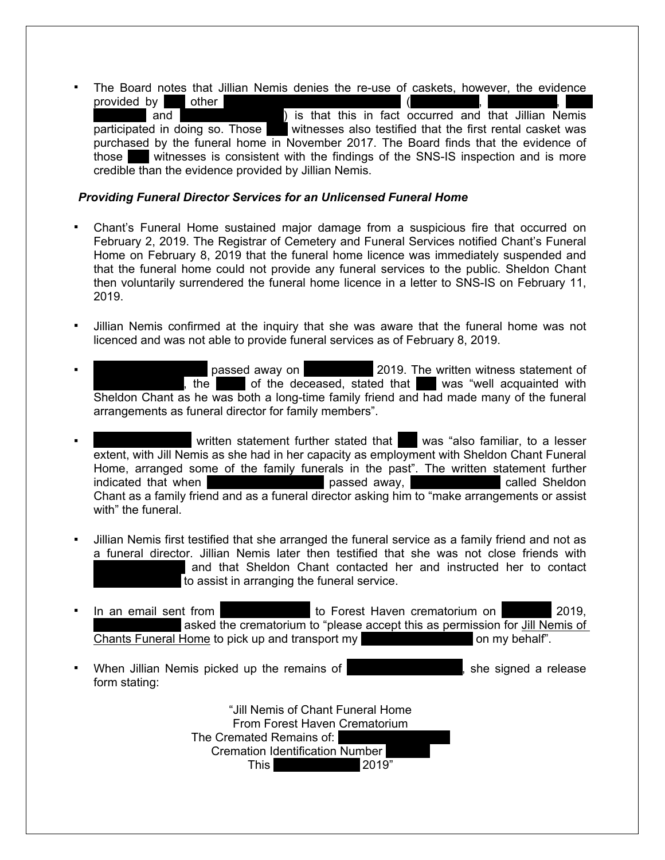▪ The Board notes that Jillian Nemis denies the re-use of caskets, however, the evidence provided by former former  $\overline{\phantom{a}}$ 

and **Example 20 and September 1** is that this in fact occurred and that Jillian Nemis participated in doing so. Those witnesses also testified that the first rental casket was purchased by the funeral home in November 2017. The Board finds that the evidence of those  $\blacksquare$  witnesses is consistent with the findings of the SNS-IS inspection and is more credible than the evidence provided by Jillian Nemis.

#### *Providing Funeral Director Services for an Unlicensed Funeral Home*

- Chant's Funeral Home sustained major damage from a suspicious fire that occurred on February 2, 2019. The Registrar of Cemetery and Funeral Services notified Chant's Funeral Home on February 8, 2019 that the funeral home licence was immediately suspended and that the funeral home could not provide any funeral services to the public. Sheldon Chant then voluntarily surrendered the funeral home licence in a letter to SNS-IS on February 11, 2019.
- Jillian Nemis confirmed at the inquiry that she was aware that the funeral home was not licenced and was not able to provide funeral services as of February 8, 2019.
- passed away on **Federal Public Passed away on Federal Public Passed away on Federal Public Public Public Public Public Public Public Public Public Public Public Public Public Public Public Public Public Public Public Publi**  $\overline{A}$ , the  $\overline{B}$  of the deceased, stated that  $\overline{B}$  was "well acquainted with Sheldon Chant as he was both a long-time family friend and had made many of the funeral arrangements as funeral director for family members".
- written statement further stated that was "also familiar, to a lesser extent, with Jill Nemis as she had in her capacity as employment with Sheldon Chant Funeral Home, arranged some of the family funerals in the past". The written statement further indicated that when  $\qquad \qquad$  passed away,  $\qquad \qquad$  called Sheldon Chant as a family friend and as a funeral director asking him to "make arrangements or assist with" the funeral.
- Jillian Nemis first testified that she arranged the funeral service as a family friend and not as a funeral director. Jillian Nemis later then testified that she was not close friends with and that Sheldon Chant contacted her and instructed her to contact to assist in arranging the funeral service.
- In an email sent from **Anglelina Nelson to Forest Haven crematorium on March 2019,** asked the crematorium to "please accept this as permission for Jill Nemis of Chants Funeral Home to pick up and transport my uncle John Multimorphalm Chants Funeral Home to pick up and transport my
- When Jillian Nemis picked up the remains of **Voltar Hugh Campbell**, she signed a release form stating:

"Jill Nemis of Chant Funeral Home From Forest Haven Crematorium The Cremated Remains of: Cremation Identification Number This 2019"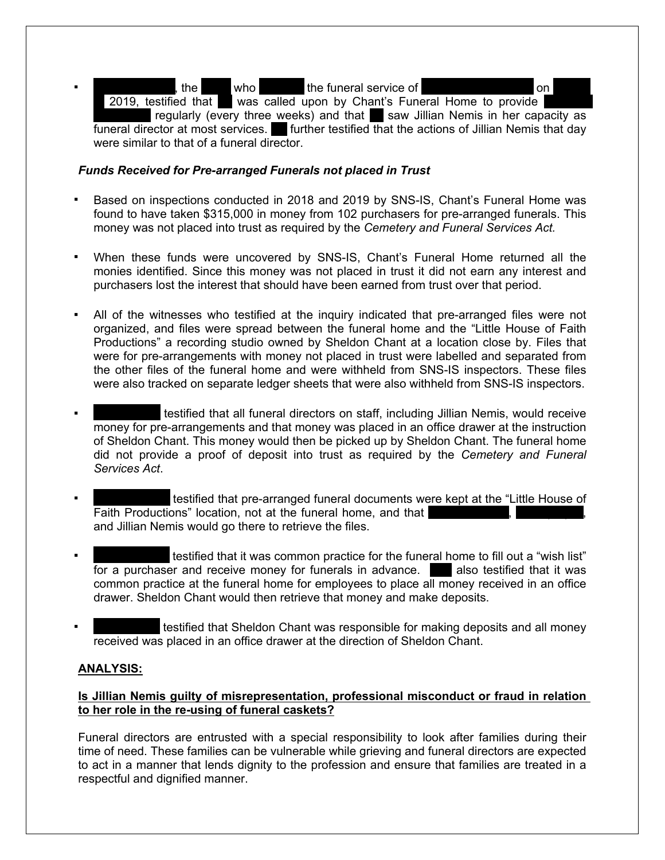the  $\blacksquare$  who  $\blacksquare$  the funeral service of  $\blacksquare$ 2019, testified that was called upon by Chant's Funeral Home to provide regularly (every three weeks) and that saw Jillian Nemis in her capacity as funeral director at most services. Further testified that the actions of Jillian Nemis that day were similar to that of a funeral director.

## *Funds Received for Pre-arranged Funerals not placed in Trust*

- Based on inspections conducted in 2018 and 2019 by SNS-IS, Chant's Funeral Home was found to have taken \$315,000 in money from 102 purchasers for pre-arranged funerals. This money was not placed into trust as required by the *Cemetery and Funeral Services Act.*
- When these funds were uncovered by SNS-IS, Chant's Funeral Home returned all the monies identified. Since this money was not placed in trust it did not earn any interest and purchasers lost the interest that should have been earned from trust over that period.
- All of the witnesses who testified at the inquiry indicated that pre-arranged files were not organized, and files were spread between the funeral home and the "Little House of Faith Productions" a recording studio owned by Sheldon Chant at a location close by. Files that were for pre-arrangements with money not placed in trust were labelled and separated from the other files of the funeral home and were withheld from SNS-IS inspectors. These files were also tracked on separate ledger sheets that were also withheld from SNS-IS inspectors.
- testified that all funeral directors on staff, including Jillian Nemis, would receive money for pre-arrangements and that money was placed in an office drawer at the instruction of Sheldon Chant. This money would then be picked up by Sheldon Chant. The funeral home did not provide a proof of deposit into trust as required by the *Cemetery and Funeral Services Act*.
- testified that pre-arranged funeral documents were kept at the "Little House of Faith Productions" location, not at the funeral home, and that and Jillian Nemis would go there to retrieve the files.
- testified that it was common practice for the funeral home to fill out a "wish list" for a purchaser and receive money for funerals in advance. She also testified that it was common practice at the funeral home for employees to place all money received in an office drawer. Sheldon Chant would then retrieve that money and make deposits.
- testified that Sheldon Chant was responsible for making deposits and all money received was placed in an office drawer at the direction of Sheldon Chant.

# **ANALYSIS:**

# **Is Jillian Nemis guilty of misrepresentation, professional misconduct or fraud in relation to her role in the re-using of funeral caskets?**

Funeral directors are entrusted with a special responsibility to look after families during their time of need. These families can be vulnerable while grieving and funeral directors are expected to act in a manner that lends dignity to the profession and ensure that families are treated in a respectful and dignified manner.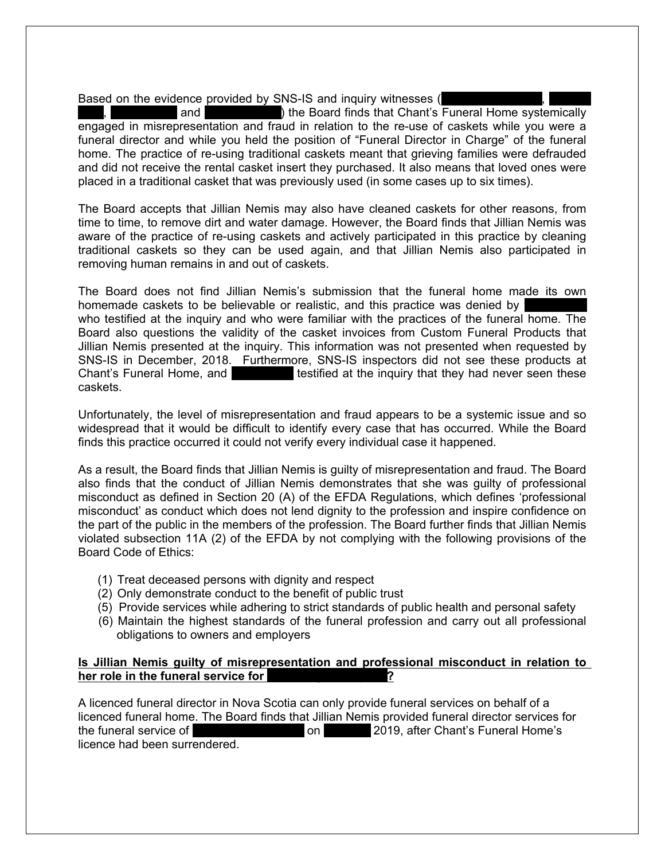Based on the evidence provided by SNS-IS and inquiry witnesses (

and  $\blacksquare$ ) the Board finds that Chant's Funeral Home systemically engaged in misrepresentation and fraud in relation to the re-use of caskets while you were a funeral director and while you held the position of "Funeral Director in Charge" of the funeral home. The practice of re-using traditional caskets meant that grieving families were defrauded and did not receive the rental casket insert they purchased. It also means that loved ones were placed in a traditional casket that was previously used (in some cases up to six times).

The Board accepts that Jillian Nemis may also have cleaned caskets for other reasons, from time to time, to remove dirt and water damage. However, the Board finds that Jillian Nemis was aware of the practice of re-using caskets and actively participated in this practice by cleaning traditional caskets so they can be used again, and that Jillian Nemis also participated in removing human remains in and out of caskets.

The Board does not find Jillian Nemis's submission that the funeral home made its own homemade caskets to be believable or realistic, and this practice was denied by who testified at the inquiry and who were familiar with the practices of the funeral home. The Board also questions the validity of the casket invoices from Custom Funeral Products that Jillian Nemis presented at the inquiry. This information was not presented when requested by SNS-IS in December, 2018. Furthermore, SNS-IS inspectors did not see these products at Chant's Funeral Home, and **Formula** testified at the inquiry that they had never seen these caskets.

Unfortunately, the level of misrepresentation and fraud appears to be a systemic issue and so widespread that it would be difficult to identify every case that has occurred. While the Board finds this practice occurred it could not verify every individual case it happened.

As a result, the Board finds that Jillian Nemis is guilty of misrepresentation and fraud. The Board also finds that the conduct of Jillian Nemis demonstrates that she was guilty of professional misconduct as defined in Section 20 (A) of the EFDA Regulations, which defines 'professional misconduct' as conduct which does not lend dignity to the profession and inspire confidence on the part of the public in the members of the profession. The Board further finds that Jillian Nemis violated subsection 11A (2) of the EFDA by not complying with the following provisions of the Board Code of Ethics:

- (1) Treat deceased persons with dignity and respect
- (2) Only demonstrate conduct to the benefit of public trust
- (5) Provide services while adhering to strict standards of public health and personal safety
- (6) Maintain the highest standards of the funeral profession and carry out all professional obligations to owners and employers

## **Is Jillian Nemis guilty of misrepresentation and professional misconduct in relation to**  her role in the funeral service for

A licenced funeral director in Nova Scotia can only provide funeral services on behalf of a licenced funeral home. The Board finds that Jillian Nemis provided funeral director services for the funeral service of  $\sim$   $\sim$   $\sim$  2019, after Chant's Funeral Home's licence had been surrendered.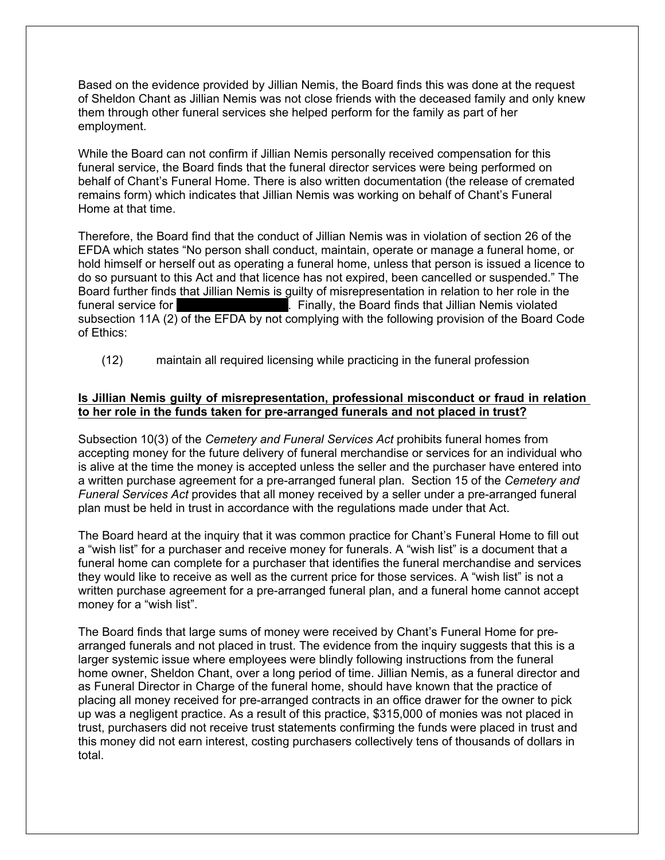Based on the evidence provided by Jillian Nemis, the Board finds this was done at the request of Sheldon Chant as Jillian Nemis was not close friends with the deceased family and only knew them through other funeral services she helped perform for the family as part of her employment.

While the Board can not confirm if Jillian Nemis personally received compensation for this funeral service, the Board finds that the funeral director services were being performed on behalf of Chant's Funeral Home. There is also written documentation (the release of cremated remains form) which indicates that Jillian Nemis was working on behalf of Chant's Funeral Home at that time.

Therefore, the Board find that the conduct of Jillian Nemis was in violation of section 26 of the EFDA which states "No person shall conduct, maintain, operate or manage a funeral home, or hold himself or herself out as operating a funeral home, unless that person is issued a licence to do so pursuant to this Act and that licence has not expired, been cancelled or suspended." The Board further finds that Jillian Nemis is guilty of misrepresentation in relation to her role in the funeral service for **Finally**, the Board finds that Jillian Nemis violated subsection 11A (2) of the EFDA by not complying with the following provision of the Board Code of Ethics:

(12) maintain all required licensing while practicing in the funeral profession

# **Is Jillian Nemis guilty of misrepresentation, professional misconduct or fraud in relation to her role in the funds taken for pre-arranged funerals and not placed in trust?**

Subsection 10(3) of the *Cemetery and Funeral Services Act* prohibits funeral homes from accepting money for the future delivery of funeral merchandise or services for an individual who is alive at the time the money is accepted unless the seller and the purchaser have entered into a written purchase agreement for a pre-arranged funeral plan. Section 15 of the *Cemetery and Funeral Services Act* provides that all money received by a seller under a pre-arranged funeral plan must be held in trust in accordance with the regulations made under that Act.

The Board heard at the inquiry that it was common practice for Chant's Funeral Home to fill out a "wish list" for a purchaser and receive money for funerals. A "wish list" is a document that a funeral home can complete for a purchaser that identifies the funeral merchandise and services they would like to receive as well as the current price for those services. A "wish list" is not a written purchase agreement for a pre-arranged funeral plan, and a funeral home cannot accept money for a "wish list".

The Board finds that large sums of money were received by Chant's Funeral Home for prearranged funerals and not placed in trust. The evidence from the inquiry suggests that this is a larger systemic issue where employees were blindly following instructions from the funeral home owner, Sheldon Chant, over a long period of time. Jillian Nemis, as a funeral director and as Funeral Director in Charge of the funeral home, should have known that the practice of placing all money received for pre-arranged contracts in an office drawer for the owner to pick up was a negligent practice. As a result of this practice, \$315,000 of monies was not placed in trust, purchasers did not receive trust statements confirming the funds were placed in trust and this money did not earn interest, costing purchasers collectively tens of thousands of dollars in total.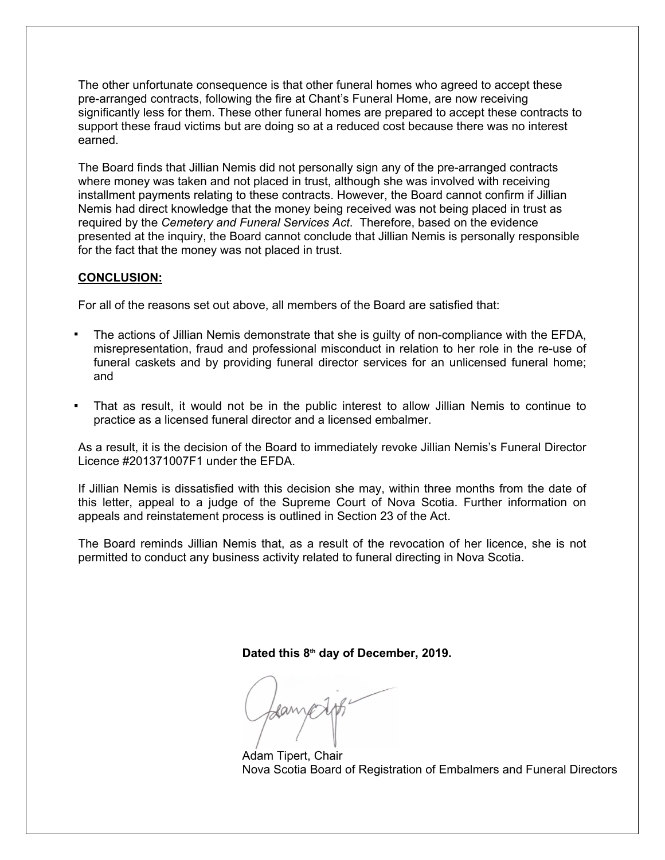The other unfortunate consequence is that other funeral homes who agreed to accept these pre-arranged contracts, following the fire at Chant's Funeral Home, are now receiving significantly less for them. These other funeral homes are prepared to accept these contracts to support these fraud victims but are doing so at a reduced cost because there was no interest earned.

The Board finds that Jillian Nemis did not personally sign any of the pre-arranged contracts where money was taken and not placed in trust, although she was involved with receiving installment payments relating to these contracts. However, the Board cannot confirm if Jillian Nemis had direct knowledge that the money being received was not being placed in trust as required by the *Cemetery and Funeral Services Act*. Therefore, based on the evidence presented at the inquiry, the Board cannot conclude that Jillian Nemis is personally responsible for the fact that the money was not placed in trust.

## **CONCLUSION:**

For all of the reasons set out above, all members of the Board are satisfied that:

- The actions of Jillian Nemis demonstrate that she is quilty of non-compliance with the EFDA, misrepresentation, fraud and professional misconduct in relation to her role in the re-use of funeral caskets and by providing funeral director services for an unlicensed funeral home; and
- That as result, it would not be in the public interest to allow Jillian Nemis to continue to practice as a licensed funeral director and a licensed embalmer.

As a result, it is the decision of the Board to immediately revoke Jillian Nemis's Funeral Director Licence #201371007F1 under the EFDA.

If Jillian Nemis is dissatisfied with this decision she may, within three months from the date of this letter, appeal to a judge of the Supreme Court of Nova Scotia. Further information on appeals and reinstatement process is outlined in Section 23 of the Act.

The Board reminds Jillian Nemis that, as a result of the revocation of her licence, she is not permitted to conduct any business activity related to funeral directing in Nova Scotia.

**Dated this 8th day of December, 2019.**

Adam Tipert, Chair Nova Scotia Board of Registration of Embalmers and Funeral Directors